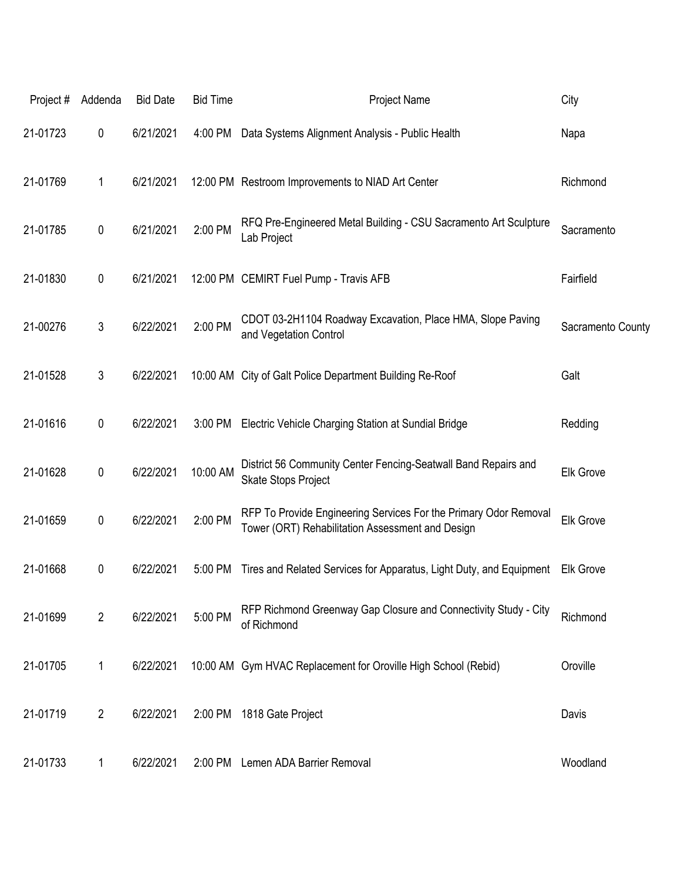| Project# | Addenda        | <b>Bid Date</b> | <b>Bid Time</b> | <b>Project Name</b>                                                                                                  | City              |
|----------|----------------|-----------------|-----------------|----------------------------------------------------------------------------------------------------------------------|-------------------|
| 21-01723 | 0              | 6/21/2021       | 4:00 PM         | Data Systems Alignment Analysis - Public Health                                                                      | Napa              |
| 21-01769 | 1              | 6/21/2021       |                 | 12:00 PM Restroom Improvements to NIAD Art Center                                                                    | Richmond          |
| 21-01785 | 0              | 6/21/2021       | 2:00 PM         | RFQ Pre-Engineered Metal Building - CSU Sacramento Art Sculpture<br>Lab Project                                      | Sacramento        |
| 21-01830 | 0              | 6/21/2021       |                 | 12:00 PM CEMIRT Fuel Pump - Travis AFB                                                                               | Fairfield         |
| 21-00276 | 3              | 6/22/2021       | 2:00 PM         | CDOT 03-2H1104 Roadway Excavation, Place HMA, Slope Paving<br>and Vegetation Control                                 | Sacramento County |
| 21-01528 | 3              | 6/22/2021       |                 | 10:00 AM City of Galt Police Department Building Re-Roof                                                             | Galt              |
| 21-01616 | 0              | 6/22/2021       | 3:00 PM         | Electric Vehicle Charging Station at Sundial Bridge                                                                  | Redding           |
| 21-01628 | 0              | 6/22/2021       | 10:00 AM        | District 56 Community Center Fencing-Seatwall Band Repairs and<br>Skate Stops Project                                | <b>Elk Grove</b>  |
| 21-01659 | 0              | 6/22/2021       | 2:00 PM         | RFP To Provide Engineering Services For the Primary Odor Removal<br>Tower (ORT) Rehabilitation Assessment and Design | <b>Elk Grove</b>  |
| 21-01668 | 0              | 6/22/2021       | 5:00 PM         | Tires and Related Services for Apparatus, Light Duty, and Equipment                                                  | <b>Elk Grove</b>  |
| 21-01699 | $\overline{2}$ | 6/22/2021       | 5:00 PM         | RFP Richmond Greenway Gap Closure and Connectivity Study - City<br>of Richmond                                       | Richmond          |
| 21-01705 | 1              | 6/22/2021       |                 | 10:00 AM Gym HVAC Replacement for Oroville High School (Rebid)                                                       | Oroville          |
| 21-01719 | $\overline{2}$ | 6/22/2021       | 2:00 PM         | 1818 Gate Project                                                                                                    | Davis             |
| 21-01733 | 1              | 6/22/2021       |                 | 2:00 PM Lemen ADA Barrier Removal                                                                                    | Woodland          |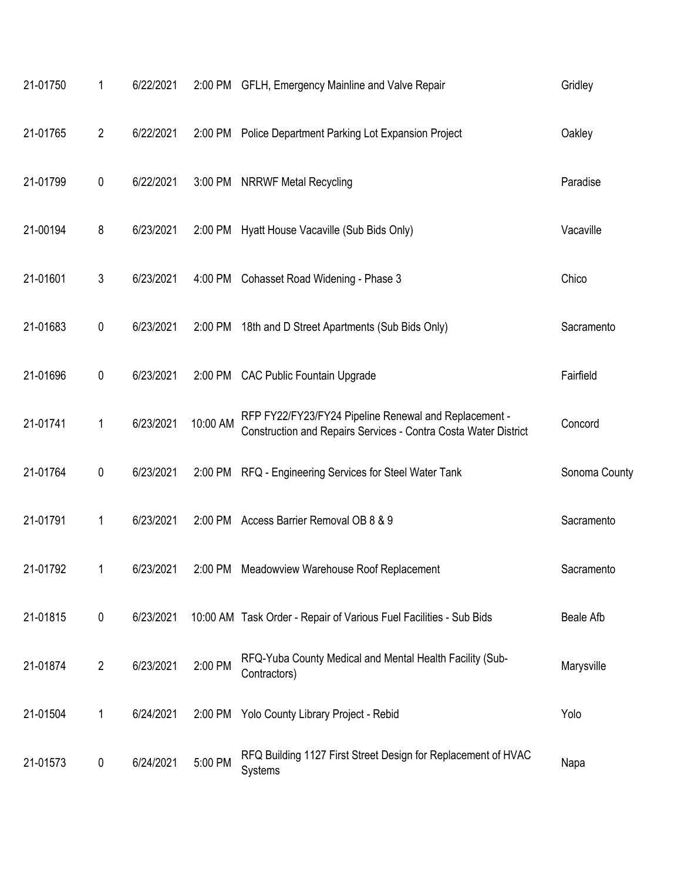| 21-01750 | 1                | 6/22/2021 |          | 2:00 PM GFLH, Emergency Mainline and Valve Repair                                                                        | Gridley          |
|----------|------------------|-----------|----------|--------------------------------------------------------------------------------------------------------------------------|------------------|
| 21-01765 | $\overline{2}$   | 6/22/2021 | 2:00 PM  | Police Department Parking Lot Expansion Project                                                                          | Oakley           |
| 21-01799 | 0                | 6/22/2021 | 3:00 PM  | <b>NRRWF Metal Recycling</b>                                                                                             | Paradise         |
| 21-00194 | 8                | 6/23/2021 | 2:00 PM  | Hyatt House Vacaville (Sub Bids Only)                                                                                    | Vacaville        |
| 21-01601 | 3                | 6/23/2021 | 4:00 PM  | Cohasset Road Widening - Phase 3                                                                                         | Chico            |
| 21-01683 | 0                | 6/23/2021 | 2:00 PM  | 18th and D Street Apartments (Sub Bids Only)                                                                             | Sacramento       |
| 21-01696 | $\pmb{0}$        | 6/23/2021 | 2:00 PM  | <b>CAC Public Fountain Upgrade</b>                                                                                       | Fairfield        |
| 21-01741 | 1                | 6/23/2021 | 10:00 AM | RFP FY22/FY23/FY24 Pipeline Renewal and Replacement -<br>Construction and Repairs Services - Contra Costa Water District | Concord          |
| 21-01764 | $\pmb{0}$        | 6/23/2021 |          | 2:00 PM RFQ - Engineering Services for Steel Water Tank                                                                  | Sonoma County    |
| 21-01791 | 1                | 6/23/2021 | 2:00 PM  | Access Barrier Removal OB 8 & 9                                                                                          | Sacramento       |
| 21-01792 |                  | 6/23/2021 |          | 2:00 PM Meadowview Warehouse Roof Replacement                                                                            | Sacramento       |
| 21-01815 | $\pmb{0}$        | 6/23/2021 |          | 10:00 AM Task Order - Repair of Various Fuel Facilities - Sub Bids                                                       | <b>Beale Afb</b> |
| 21-01874 | $\overline{2}$   | 6/23/2021 | 2:00 PM  | RFQ-Yuba County Medical and Mental Health Facility (Sub-<br>Contractors)                                                 | Marysville       |
| 21-01504 | 1                | 6/24/2021 | 2:00 PM  | Yolo County Library Project - Rebid                                                                                      | Yolo             |
| 21-01573 | $\boldsymbol{0}$ | 6/24/2021 | 5:00 PM  | RFQ Building 1127 First Street Design for Replacement of HVAC<br>Systems                                                 | Napa             |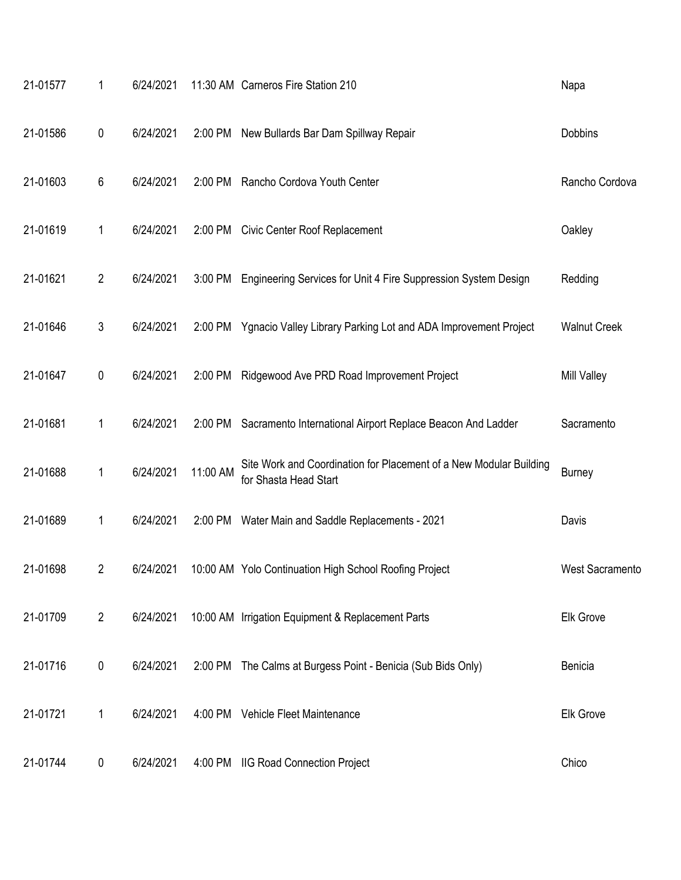| 21-01577 | 1              | 6/24/2021 |          | 11:30 AM Carneros Fire Station 210                                                          | Napa                   |
|----------|----------------|-----------|----------|---------------------------------------------------------------------------------------------|------------------------|
| 21-01586 | $\pmb{0}$      | 6/24/2021 | 2:00 PM  | New Bullards Bar Dam Spillway Repair                                                        | Dobbins                |
| 21-01603 | 6              | 6/24/2021 | 2:00 PM  | Rancho Cordova Youth Center                                                                 | Rancho Cordova         |
| 21-01619 | 1              | 6/24/2021 | 2:00 PM  | <b>Civic Center Roof Replacement</b>                                                        | Oakley                 |
| 21-01621 | $\overline{2}$ | 6/24/2021 | 3:00 PM  | Engineering Services for Unit 4 Fire Suppression System Design                              | Redding                |
| 21-01646 | 3              | 6/24/2021 | 2:00 PM  | Ygnacio Valley Library Parking Lot and ADA Improvement Project                              | <b>Walnut Creek</b>    |
| 21-01647 | $\pmb{0}$      | 6/24/2021 | 2:00 PM  | Ridgewood Ave PRD Road Improvement Project                                                  | <b>Mill Valley</b>     |
| 21-01681 | 1              | 6/24/2021 | 2:00 PM  | Sacramento International Airport Replace Beacon And Ladder                                  | Sacramento             |
| 21-01688 | $\mathbf{1}$   | 6/24/2021 | 11:00 AM | Site Work and Coordination for Placement of a New Modular Building<br>for Shasta Head Start | <b>Burney</b>          |
| 21-01689 | 1              | 6/24/2021 |          | 2:00 PM Water Main and Saddle Replacements - 2021                                           | Davis                  |
| 21-01698 | 2              | 6/24/2021 |          | 10:00 AM Yolo Continuation High School Roofing Project                                      | <b>West Sacramento</b> |
| 21-01709 | $\overline{2}$ | 6/24/2021 |          | 10:00 AM Irrigation Equipment & Replacement Parts                                           | Elk Grove              |
| 21-01716 | $\pmb{0}$      | 6/24/2021 |          | 2:00 PM The Calms at Burgess Point - Benicia (Sub Bids Only)                                | Benicia                |
| 21-01721 | 1              | 6/24/2021 |          | 4:00 PM Vehicle Fleet Maintenance                                                           | Elk Grove              |
| 21-01744 | 0              | 6/24/2021 |          | 4:00 PM IIG Road Connection Project                                                         | Chico                  |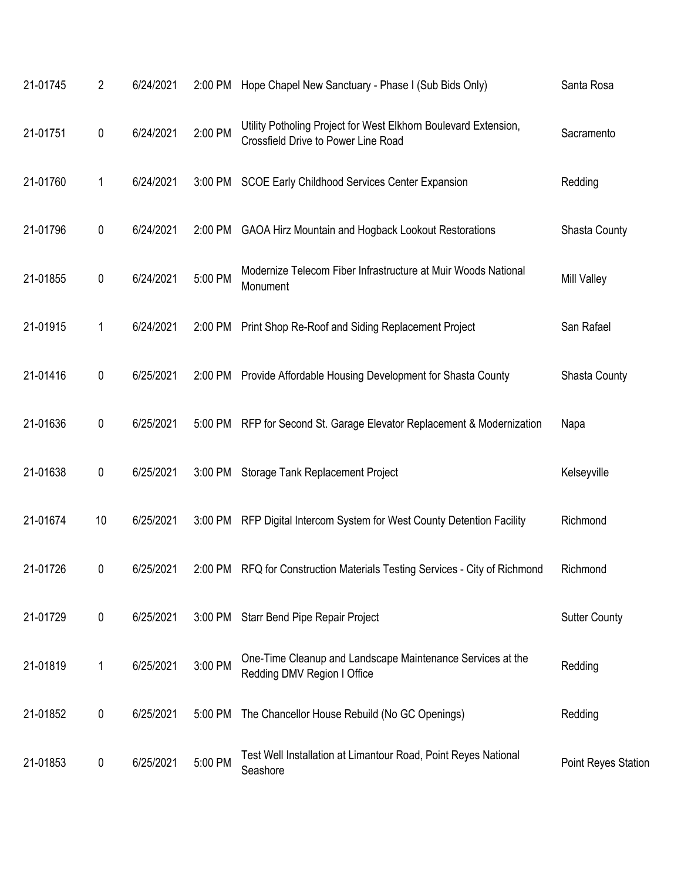| 21-01745 | 2  | 6/24/2021 |         | 2:00 PM Hope Chapel New Sanctuary - Phase I (Sub Bids Only)                                                   | Santa Rosa                 |
|----------|----|-----------|---------|---------------------------------------------------------------------------------------------------------------|----------------------------|
| 21-01751 | 0  | 6/24/2021 | 2:00 PM | Utility Potholing Project for West Elkhorn Boulevard Extension,<br><b>Crossfield Drive to Power Line Road</b> | Sacramento                 |
| 21-01760 | 1  | 6/24/2021 |         | 3:00 PM SCOE Early Childhood Services Center Expansion                                                        | Redding                    |
| 21-01796 | 0  | 6/24/2021 | 2:00 PM | <b>GAOA Hirz Mountain and Hogback Lookout Restorations</b>                                                    | <b>Shasta County</b>       |
| 21-01855 | 0  | 6/24/2021 | 5:00 PM | Modernize Telecom Fiber Infrastructure at Muir Woods National<br>Monument                                     | Mill Valley                |
| 21-01915 | 1  | 6/24/2021 |         | 2:00 PM Print Shop Re-Roof and Siding Replacement Project                                                     | San Rafael                 |
| 21-01416 | 0  | 6/25/2021 |         | 2:00 PM Provide Affordable Housing Development for Shasta County                                              | <b>Shasta County</b>       |
| 21-01636 | 0  | 6/25/2021 |         | 5:00 PM RFP for Second St. Garage Elevator Replacement & Modernization                                        | Napa                       |
| 21-01638 | 0  | 6/25/2021 |         | 3:00 PM Storage Tank Replacement Project                                                                      | Kelseyville                |
| 21-01674 | 10 | 6/25/2021 |         | 3:00 PM RFP Digital Intercom System for West County Detention Facility                                        | Richmond                   |
| 21-01726 | 0  | 6/25/2021 | 2:00 PM | RFQ for Construction Materials Testing Services - City of Richmond                                            | Richmond                   |
| 21-01729 | 0  | 6/25/2021 |         | 3:00 PM Starr Bend Pipe Repair Project                                                                        | <b>Sutter County</b>       |
| 21-01819 | 1  | 6/25/2021 | 3:00 PM | One-Time Cleanup and Landscape Maintenance Services at the<br>Redding DMV Region I Office                     | Redding                    |
| 21-01852 | 0  | 6/25/2021 | 5:00 PM | The Chancellor House Rebuild (No GC Openings)                                                                 | Redding                    |
| 21-01853 | 0  | 6/25/2021 | 5:00 PM | Test Well Installation at Limantour Road, Point Reyes National<br>Seashore                                    | <b>Point Reyes Station</b> |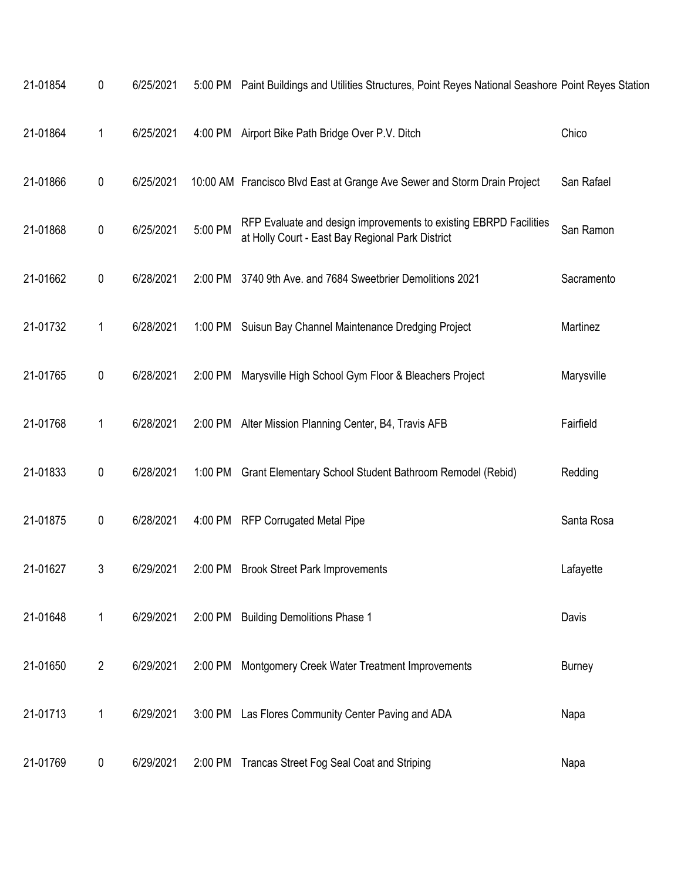| 21-01854 | 0              | 6/25/2021 |         | 5:00 PM Paint Buildings and Utilities Structures, Point Reyes National Seashore Point Reyes Station                   |               |
|----------|----------------|-----------|---------|-----------------------------------------------------------------------------------------------------------------------|---------------|
| 21-01864 | 1              | 6/25/2021 |         | 4:00 PM Airport Bike Path Bridge Over P.V. Ditch                                                                      | Chico         |
| 21-01866 | 0              | 6/25/2021 |         | 10:00 AM Francisco Blvd East at Grange Ave Sewer and Storm Drain Project                                              | San Rafael    |
| 21-01868 | 0              | 6/25/2021 | 5:00 PM | RFP Evaluate and design improvements to existing EBRPD Facilities<br>at Holly Court - East Bay Regional Park District | San Ramon     |
| 21-01662 | 0              | 6/28/2021 |         | 2:00 PM 3740 9th Ave. and 7684 Sweetbrier Demolitions 2021                                                            | Sacramento    |
| 21-01732 | 1              | 6/28/2021 |         | 1:00 PM Suisun Bay Channel Maintenance Dredging Project                                                               | Martinez      |
| 21-01765 | 0              | 6/28/2021 |         | 2:00 PM Marysville High School Gym Floor & Bleachers Project                                                          | Marysville    |
| 21-01768 | 1              | 6/28/2021 |         | 2:00 PM Alter Mission Planning Center, B4, Travis AFB                                                                 | Fairfield     |
| 21-01833 | 0              | 6/28/2021 |         | 1:00 PM Grant Elementary School Student Bathroom Remodel (Rebid)                                                      | Redding       |
| 21-01875 | 0              | 6/28/2021 |         | 4:00 PM RFP Corrugated Metal Pipe                                                                                     | Santa Rosa    |
| 21-01627 | 3              | 6/29/2021 | 2:00 PM | <b>Brook Street Park Improvements</b>                                                                                 | Lafayette     |
| 21-01648 | $\mathbf{1}$   | 6/29/2021 |         | 2:00 PM Building Demolitions Phase 1                                                                                  | Davis         |
| 21-01650 | $\overline{2}$ | 6/29/2021 | 2:00 PM | Montgomery Creek Water Treatment Improvements                                                                         | <b>Burney</b> |
| 21-01713 | 1              | 6/29/2021 |         | 3:00 PM Las Flores Community Center Paving and ADA                                                                    | Napa          |
| 21-01769 | 0              | 6/29/2021 |         | 2:00 PM Trancas Street Fog Seal Coat and Striping                                                                     | Napa          |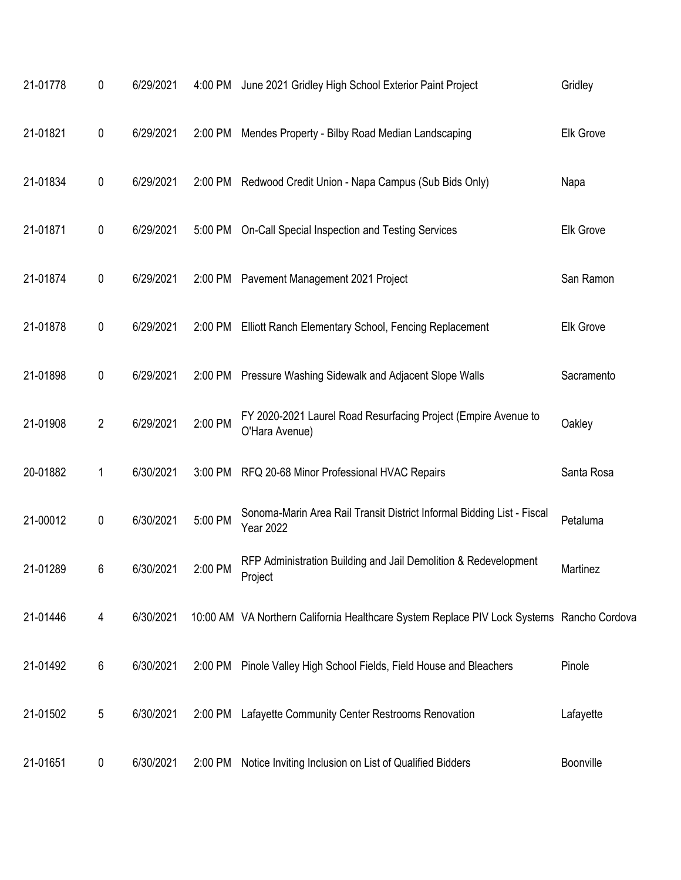| 21-01778 | 0                | 6/29/2021 | 4:00 PM | June 2021 Gridley High School Exterior Paint Project                                       | Gridley    |
|----------|------------------|-----------|---------|--------------------------------------------------------------------------------------------|------------|
| 21-01821 | 0                | 6/29/2021 | 2:00 PM | Mendes Property - Bilby Road Median Landscaping                                            | Elk Grove  |
| 21-01834 | $\boldsymbol{0}$ | 6/29/2021 | 2:00 PM | Redwood Credit Union - Napa Campus (Sub Bids Only)                                         | Napa       |
| 21-01871 | $\pmb{0}$        | 6/29/2021 | 5:00 PM | On-Call Special Inspection and Testing Services                                            | Elk Grove  |
| 21-01874 | 0                | 6/29/2021 | 2:00 PM | Pavement Management 2021 Project                                                           | San Ramon  |
| 21-01878 | $\pmb{0}$        | 6/29/2021 | 2:00 PM | Elliott Ranch Elementary School, Fencing Replacement                                       | Elk Grove  |
| 21-01898 | 0                | 6/29/2021 | 2:00 PM | Pressure Washing Sidewalk and Adjacent Slope Walls                                         | Sacramento |
| 21-01908 | $\overline{2}$   | 6/29/2021 | 2:00 PM | FY 2020-2021 Laurel Road Resurfacing Project (Empire Avenue to<br>O'Hara Avenue)           | Oakley     |
| 20-01882 | 1                | 6/30/2021 | 3:00 PM | RFQ 20-68 Minor Professional HVAC Repairs                                                  | Santa Rosa |
| 21-00012 | $\pmb{0}$        | 6/30/2021 | 5:00 PM | Sonoma-Marin Area Rail Transit District Informal Bidding List - Fiscal<br><b>Year 2022</b> | Petaluma   |
| 21-01289 | 6                | 6/30/2021 | 2:00 PM | RFP Administration Building and Jail Demolition & Redevelopment<br>Project                 | Martinez   |
| 21-01446 | 4                | 6/30/2021 |         | 10:00 AM VA Northern California Healthcare System Replace PIV Lock Systems Rancho Cordova  |            |
| 21-01492 | 6                | 6/30/2021 | 2:00 PM | Pinole Valley High School Fields, Field House and Bleachers                                | Pinole     |
| 21-01502 | $\sqrt{5}$       | 6/30/2021 | 2:00 PM | Lafayette Community Center Restrooms Renovation                                            | Lafayette  |
| 21-01651 | 0                | 6/30/2021 | 2:00 PM | Notice Inviting Inclusion on List of Qualified Bidders                                     | Boonville  |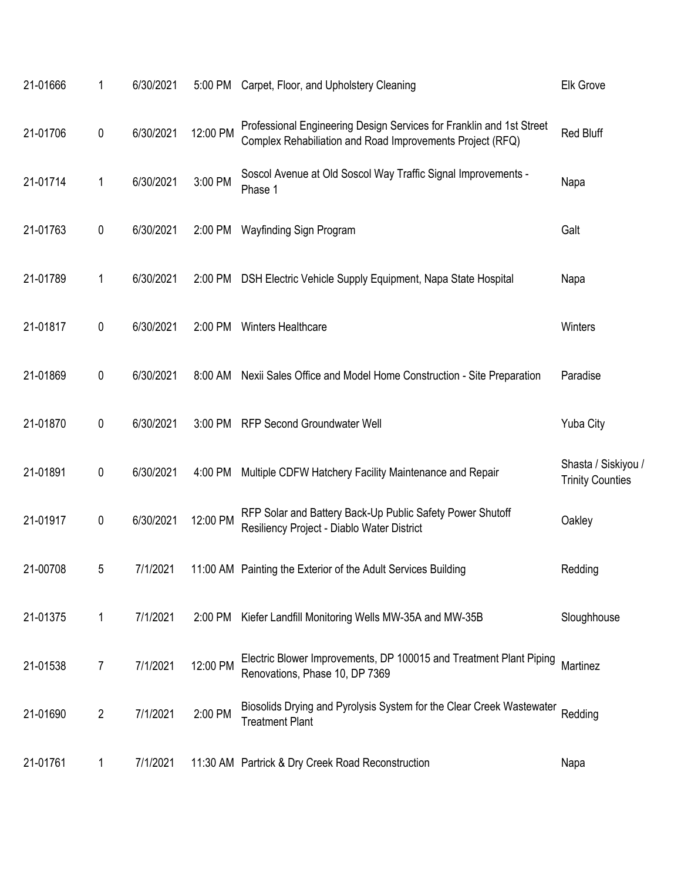| 21-01666 | 1              | 6/30/2021 |          | 5:00 PM Carpet, Floor, and Upholstery Cleaning                                                                                    | <b>Elk Grove</b>                               |
|----------|----------------|-----------|----------|-----------------------------------------------------------------------------------------------------------------------------------|------------------------------------------------|
| 21-01706 | 0              | 6/30/2021 | 12:00 PM | Professional Engineering Design Services for Franklin and 1st Street<br>Complex Rehabiliation and Road Improvements Project (RFQ) | Red Bluff                                      |
| 21-01714 | 1              | 6/30/2021 | 3:00 PM  | Soscol Avenue at Old Soscol Way Traffic Signal Improvements -<br>Phase 1                                                          | Napa                                           |
| 21-01763 | 0              | 6/30/2021 | 2:00 PM  | Wayfinding Sign Program                                                                                                           | Galt                                           |
| 21-01789 | 1              | 6/30/2021 |          | 2:00 PM DSH Electric Vehicle Supply Equipment, Napa State Hospital                                                                | Napa                                           |
| 21-01817 | 0              | 6/30/2021 |          | 2:00 PM Winters Healthcare                                                                                                        | Winters                                        |
| 21-01869 | 0              | 6/30/2021 | 8:00 AM  | Nexii Sales Office and Model Home Construction - Site Preparation                                                                 | Paradise                                       |
| 21-01870 | 0              | 6/30/2021 |          | 3:00 PM RFP Second Groundwater Well                                                                                               | <b>Yuba City</b>                               |
| 21-01891 | 0              | 6/30/2021 | 4:00 PM  | Multiple CDFW Hatchery Facility Maintenance and Repair                                                                            | Shasta / Siskiyou /<br><b>Trinity Counties</b> |
| 21-01917 | 0              | 6/30/2021 | 12:00 PM | RFP Solar and Battery Back-Up Public Safety Power Shutoff<br>Resiliency Project - Diablo Water District                           | Oakley                                         |
| 21-00708 | 5              | 7/1/2021  |          | 11:00 AM Painting the Exterior of the Adult Services Building                                                                     | Redding                                        |
| 21-01375 | 1              | 7/1/2021  | 2:00 PM  | Kiefer Landfill Monitoring Wells MW-35A and MW-35B                                                                                | Sloughhouse                                    |
| 21-01538 | 7              | 7/1/2021  | 12:00 PM | Electric Blower Improvements, DP 100015 and Treatment Plant Piping<br>Renovations, Phase 10, DP 7369                              | Martinez                                       |
| 21-01690 | $\overline{2}$ | 7/1/2021  | 2:00 PM  | Biosolids Drying and Pyrolysis System for the Clear Creek Wastewater<br><b>Treatment Plant</b>                                    | Redding                                        |
| 21-01761 | 1              | 7/1/2021  |          | 11:30 AM Partrick & Dry Creek Road Reconstruction                                                                                 | Napa                                           |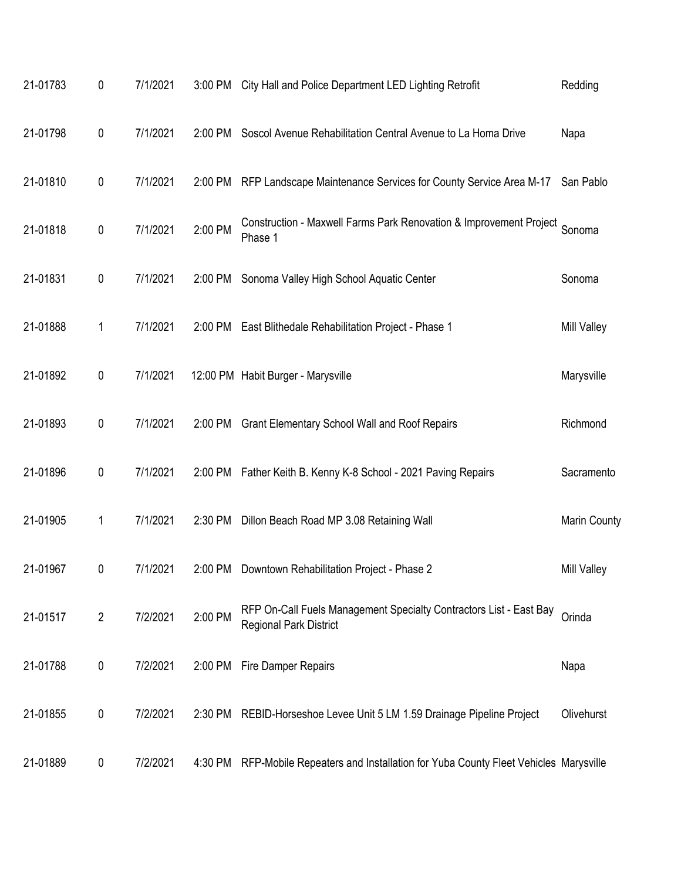| 21-01783 | 0              | 7/1/2021 |         | 3:00 PM City Hall and Police Department LED Lighting Retrofit                                       | Redding            |
|----------|----------------|----------|---------|-----------------------------------------------------------------------------------------------------|--------------------|
| 21-01798 | $\pmb{0}$      | 7/1/2021 | 2:00 PM | Soscol Avenue Rehabilitation Central Avenue to La Homa Drive                                        | Napa               |
| 21-01810 | 0              | 7/1/2021 | 2:00 PM | RFP Landscape Maintenance Services for County Service Area M-17                                     | San Pablo          |
| 21-01818 | $\pmb{0}$      | 7/1/2021 | 2:00 PM | Construction - Maxwell Farms Park Renovation & Improvement Project<br>Phase 1                       | Sonoma             |
| 21-01831 | 0              | 7/1/2021 |         | 2:00 PM Sonoma Valley High School Aquatic Center                                                    | Sonoma             |
| 21-01888 | 1              | 7/1/2021 |         | 2:00 PM East Blithedale Rehabilitation Project - Phase 1                                            | <b>Mill Valley</b> |
| 21-01892 | $\pmb{0}$      | 7/1/2021 |         | 12:00 PM Habit Burger - Marysville                                                                  | Marysville         |
| 21-01893 | 0              | 7/1/2021 | 2:00 PM | <b>Grant Elementary School Wall and Roof Repairs</b>                                                | Richmond           |
| 21-01896 | 0              | 7/1/2021 |         | 2:00 PM Father Keith B. Kenny K-8 School - 2021 Paving Repairs                                      | Sacramento         |
| 21-01905 | 1              | 7/1/2021 | 2:30 PM | Dillon Beach Road MP 3.08 Retaining Wall                                                            | Marin County       |
| 21-01967 | 0              | 7/1/2021 | 2:00 PM | Downtown Rehabilitation Project - Phase 2                                                           | <b>Mill Valley</b> |
| 21-01517 | $\overline{2}$ | 7/2/2021 | 2:00 PM | RFP On-Call Fuels Management Specialty Contractors List - East Bay<br><b>Regional Park District</b> | Orinda             |
| 21-01788 | 0              | 7/2/2021 | 2:00 PM | Fire Damper Repairs                                                                                 | Napa               |
| 21-01855 | 0              | 7/2/2021 |         | 2:30 PM REBID-Horseshoe Levee Unit 5 LM 1.59 Drainage Pipeline Project                              | Olivehurst         |
| 21-01889 | 0              | 7/2/2021 | 4:30 PM | RFP-Mobile Repeaters and Installation for Yuba County Fleet Vehicles Marysville                     |                    |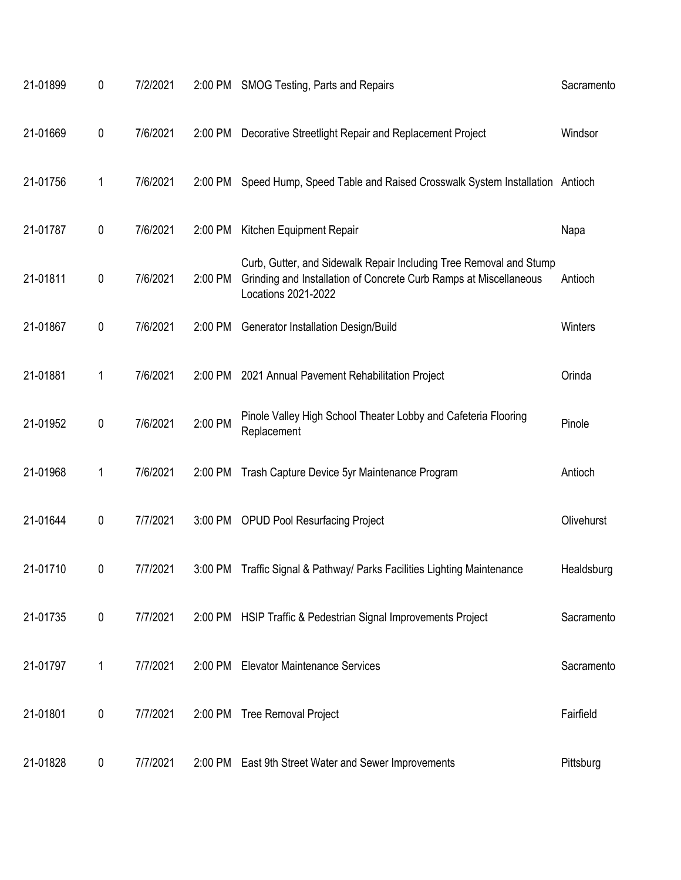| 21-01899 | 0         | 7/2/2021 |           | 2:00 PM SMOG Testing, Parts and Repairs                                                                                                                        | Sacramento |
|----------|-----------|----------|-----------|----------------------------------------------------------------------------------------------------------------------------------------------------------------|------------|
| 21-01669 | $\pmb{0}$ | 7/6/2021 | 2:00 PM   | Decorative Streetlight Repair and Replacement Project                                                                                                          | Windsor    |
| 21-01756 | 1         | 7/6/2021 | $2:00$ PM | Speed Hump, Speed Table and Raised Crosswalk System Installation Antioch                                                                                       |            |
| 21-01787 | $\pmb{0}$ | 7/6/2021 | 2:00 PM   | Kitchen Equipment Repair                                                                                                                                       | Napa       |
| 21-01811 | $\pmb{0}$ | 7/6/2021 | 2:00 PM   | Curb, Gutter, and Sidewalk Repair Including Tree Removal and Stump<br>Grinding and Installation of Concrete Curb Ramps at Miscellaneous<br>Locations 2021-2022 | Antioch    |
| 21-01867 | $\pmb{0}$ | 7/6/2021 | 2:00 PM   | Generator Installation Design/Build                                                                                                                            | Winters    |
| 21-01881 | 1         | 7/6/2021 | 2:00 PM   | 2021 Annual Pavement Rehabilitation Project                                                                                                                    | Orinda     |
| 21-01952 | $\pmb{0}$ | 7/6/2021 | 2:00 PM   | Pinole Valley High School Theater Lobby and Cafeteria Flooring<br>Replacement                                                                                  | Pinole     |
| 21-01968 | 1         | 7/6/2021 | 2:00 PM   | Trash Capture Device 5yr Maintenance Program                                                                                                                   | Antioch    |
| 21-01644 | $\pmb{0}$ | 7/7/2021 | 3:00 PM   | <b>OPUD Pool Resurfacing Project</b>                                                                                                                           | Olivehurst |
| 21-01710 | 0         | 7/7/2021 |           | 3:00 PM Traffic Signal & Pathway/ Parks Facilities Lighting Maintenance                                                                                        | Healdsburg |
| 21-01735 | $\pmb{0}$ | 7/7/2021 | 2:00 PM   | HSIP Traffic & Pedestrian Signal Improvements Project                                                                                                          | Sacramento |
| 21-01797 | 1         | 7/7/2021 | 2:00 PM   | <b>Elevator Maintenance Services</b>                                                                                                                           | Sacramento |
| 21-01801 | $\pmb{0}$ | 7/7/2021 |           | 2:00 PM Tree Removal Project                                                                                                                                   | Fairfield  |
| 21-01828 | 0         | 7/7/2021 | 2:00 PM   | East 9th Street Water and Sewer Improvements                                                                                                                   | Pittsburg  |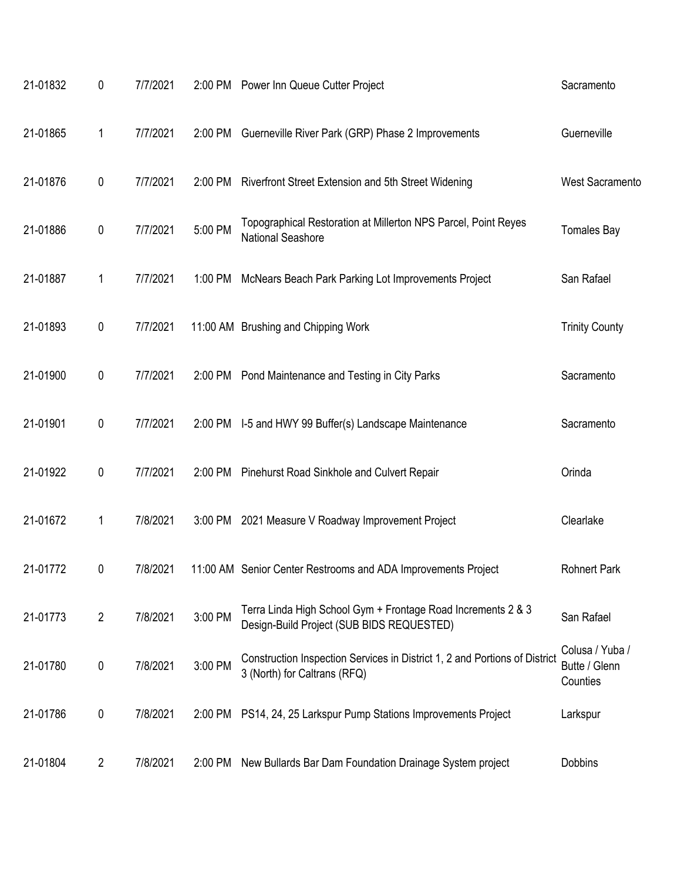| 21-01832 | $\pmb{0}$      | 7/7/2021 |         | 2:00 PM Power Inn Queue Cutter Project                                                                     | Sacramento                                   |
|----------|----------------|----------|---------|------------------------------------------------------------------------------------------------------------|----------------------------------------------|
| 21-01865 | 1              | 7/7/2021 | 2:00 PM | Guerneville River Park (GRP) Phase 2 Improvements                                                          | Guerneville                                  |
| 21-01876 | $\pmb{0}$      | 7/7/2021 | 2:00 PM | Riverfront Street Extension and 5th Street Widening                                                        | <b>West Sacramento</b>                       |
| 21-01886 | $\pmb{0}$      | 7/7/2021 | 5:00 PM | Topographical Restoration at Millerton NPS Parcel, Point Reyes<br>National Seashore                        | <b>Tomales Bay</b>                           |
| 21-01887 | 1              | 7/7/2021 | 1:00 PM | McNears Beach Park Parking Lot Improvements Project                                                        | San Rafael                                   |
| 21-01893 | $\pmb{0}$      | 7/7/2021 |         | 11:00 AM Brushing and Chipping Work                                                                        | <b>Trinity County</b>                        |
| 21-01900 | $\pmb{0}$      | 7/7/2021 | 2:00 PM | Pond Maintenance and Testing in City Parks                                                                 | Sacramento                                   |
| 21-01901 | $\pmb{0}$      | 7/7/2021 |         | 2:00 PM I-5 and HWY 99 Buffer(s) Landscape Maintenance                                                     | Sacramento                                   |
| 21-01922 | $\pmb{0}$      | 7/7/2021 |         | 2:00 PM Pinehurst Road Sinkhole and Culvert Repair                                                         | Orinda                                       |
| 21-01672 | 1              | 7/8/2021 |         | 3:00 PM 2021 Measure V Roadway Improvement Project                                                         | Clearlake                                    |
| 21-01772 | 0              | 7/8/2021 |         | 11:00 AM Senior Center Restrooms and ADA Improvements Project                                              | <b>Rohnert Park</b>                          |
| 21-01773 | $\overline{2}$ | 7/8/2021 | 3:00 PM | Terra Linda High School Gym + Frontage Road Increments 2 & 3<br>Design-Build Project (SUB BIDS REQUESTED)  | San Rafael                                   |
| 21-01780 | 0              | 7/8/2021 | 3:00 PM | Construction Inspection Services in District 1, 2 and Portions of District<br>3 (North) for Caltrans (RFQ) | Colusa / Yuba /<br>Butte / Glenn<br>Counties |
| 21-01786 | $\pmb{0}$      | 7/8/2021 | 2:00 PM | PS14, 24, 25 Larkspur Pump Stations Improvements Project                                                   | Larkspur                                     |
| 21-01804 | $\overline{2}$ | 7/8/2021 | 2:00 PM | New Bullards Bar Dam Foundation Drainage System project                                                    | <b>Dobbins</b>                               |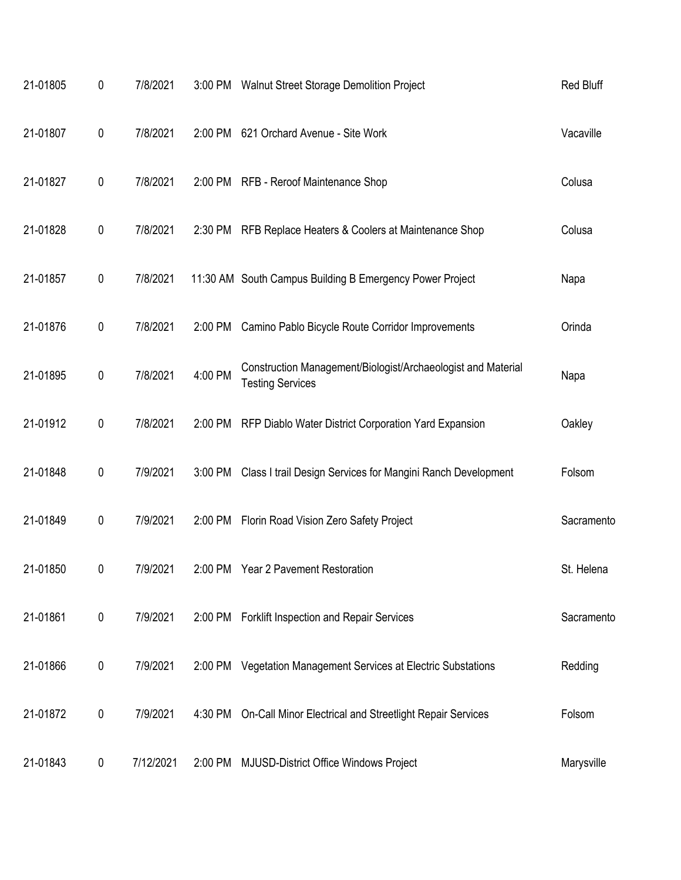| 21-01805 | 0 | 7/8/2021  |         | 3:00 PM Walnut Street Storage Demolition Project                                        | <b>Red Bluff</b> |
|----------|---|-----------|---------|-----------------------------------------------------------------------------------------|------------------|
| 21-01807 | 0 | 7/8/2021  | 2:00 PM | 621 Orchard Avenue - Site Work                                                          | Vacaville        |
| 21-01827 | 0 | 7/8/2021  |         | 2:00 PM RFB - Reroof Maintenance Shop                                                   | Colusa           |
| 21-01828 | 0 | 7/8/2021  |         | 2:30 PM RFB Replace Heaters & Coolers at Maintenance Shop                               | Colusa           |
| 21-01857 | 0 | 7/8/2021  |         | 11:30 AM South Campus Building B Emergency Power Project                                | Napa             |
| 21-01876 | 0 | 7/8/2021  |         | 2:00 PM Camino Pablo Bicycle Route Corridor Improvements                                | Orinda           |
| 21-01895 | 0 | 7/8/2021  | 4:00 PM | Construction Management/Biologist/Archaeologist and Material<br><b>Testing Services</b> | Napa             |
| 21-01912 | 0 | 7/8/2021  |         | 2:00 PM RFP Diablo Water District Corporation Yard Expansion                            | Oakley           |
| 21-01848 | 0 | 7/9/2021  | 3:00 PM | Class I trail Design Services for Mangini Ranch Development                             | Folsom           |
| 21-01849 | 0 | 7/9/2021  |         | 2:00 PM Florin Road Vision Zero Safety Project                                          | Sacramento       |
| 21-01850 | 0 | 7/9/2021  |         | 2:00 PM Year 2 Pavement Restoration                                                     | St. Helena       |
| 21-01861 | 0 | 7/9/2021  |         | 2:00 PM Forklift Inspection and Repair Services                                         | Sacramento       |
| 21-01866 | 0 | 7/9/2021  |         | 2:00 PM Vegetation Management Services at Electric Substations                          | Redding          |
| 21-01872 | 0 | 7/9/2021  | 4:30 PM | On-Call Minor Electrical and Streetlight Repair Services                                | Folsom           |
| 21-01843 | 0 | 7/12/2021 | 2:00 PM | <b>MJUSD-District Office Windows Project</b>                                            | Marysville       |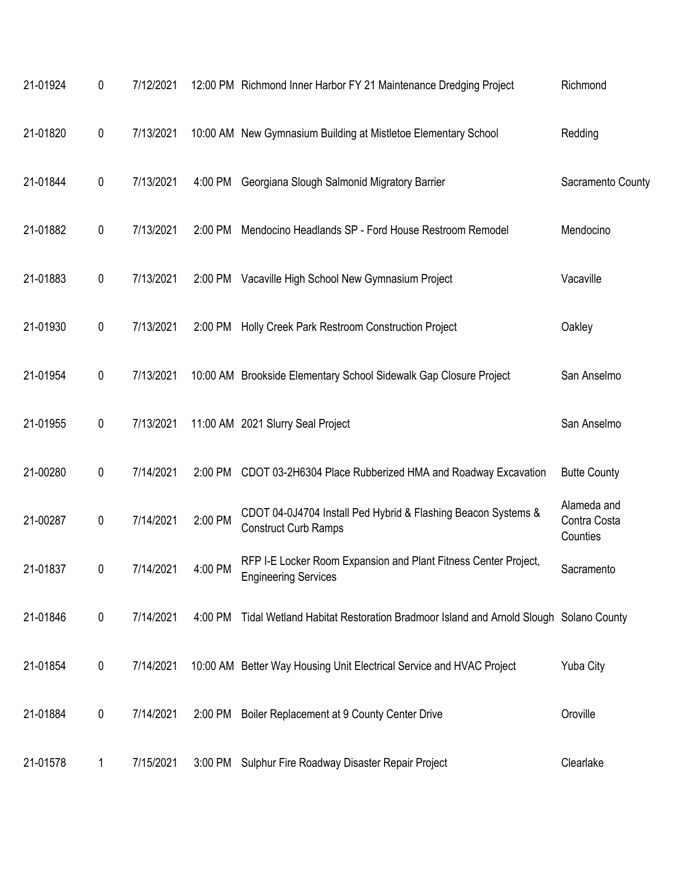| 21-01924 | 0         | 7/12/2021 |         | 12:00 PM Richmond Inner Harbor FY 21 Maintenance Dredging Project                              | Richmond                                |
|----------|-----------|-----------|---------|------------------------------------------------------------------------------------------------|-----------------------------------------|
| 21-01820 | $\pmb{0}$ | 7/13/2021 |         | 10:00 AM New Gymnasium Building at Mistletoe Elementary School                                 | Redding                                 |
| 21-01844 | 0         | 7/13/2021 | 4:00 PM | Georgiana Slough Salmonid Migratory Barrier                                                    | Sacramento County                       |
| 21-01882 | 0         | 7/13/2021 | 2:00 PM | Mendocino Headlands SP - Ford House Restroom Remodel                                           | Mendocino                               |
| 21-01883 | 0         | 7/13/2021 |         | 2:00 PM Vacaville High School New Gymnasium Project                                            | Vacaville                               |
| 21-01930 | $\pmb{0}$ | 7/13/2021 |         | 2:00 PM Holly Creek Park Restroom Construction Project                                         | Oakley                                  |
| 21-01954 | 0         | 7/13/2021 |         | 10:00 AM Brookside Elementary School Sidewalk Gap Closure Project                              | San Anselmo                             |
| 21-01955 | $\pmb{0}$ | 7/13/2021 |         | 11:00 AM 2021 Slurry Seal Project                                                              | San Anselmo                             |
| 21-00280 | 0         | 7/14/2021 | 2:00 PM | CDOT 03-2H6304 Place Rubberized HMA and Roadway Excavation                                     | <b>Butte County</b>                     |
| 21-00287 | 0         | 7/14/2021 | 2:00 PM | CDOT 04-0J4704 Install Ped Hybrid & Flashing Beacon Systems &<br><b>Construct Curb Ramps</b>   | Alameda and<br>Contra Costa<br>Counties |
| 21-01837 | 0         | 7/14/2021 | 4:00 PM | RFP I-E Locker Room Expansion and Plant Fitness Center Project,<br><b>Engineering Services</b> | Sacramento                              |
| 21-01846 | $\pmb{0}$ | 7/14/2021 |         | 4:00 PM Tidal Wetland Habitat Restoration Bradmoor Island and Arnold Slough Solano County      |                                         |
| 21-01854 | 0         | 7/14/2021 |         | 10:00 AM Better Way Housing Unit Electrical Service and HVAC Project                           | <b>Yuba City</b>                        |
| 21-01884 | $\pmb{0}$ | 7/14/2021 |         | 2:00 PM Boiler Replacement at 9 County Center Drive                                            | Oroville                                |
| 21-01578 | 1         | 7/15/2021 | 3:00 PM | Sulphur Fire Roadway Disaster Repair Project                                                   | Clearlake                               |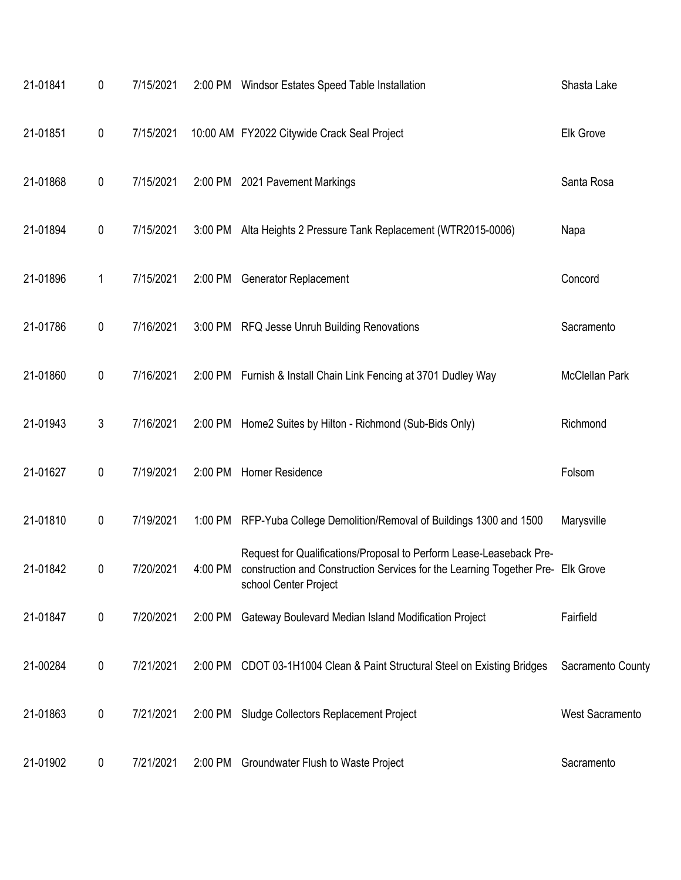| 21-01841 | 0         | 7/15/2021 |         | 2:00 PM Windsor Estates Speed Table Installation                                                                                                                                | Shasta Lake            |
|----------|-----------|-----------|---------|---------------------------------------------------------------------------------------------------------------------------------------------------------------------------------|------------------------|
| 21-01851 | $\pmb{0}$ | 7/15/2021 |         | 10:00 AM FY2022 Citywide Crack Seal Project                                                                                                                                     | <b>Elk Grove</b>       |
| 21-01868 | 0         | 7/15/2021 |         | 2:00 PM 2021 Pavement Markings                                                                                                                                                  | Santa Rosa             |
| 21-01894 | $\pmb{0}$ | 7/15/2021 |         | 3:00 PM Alta Heights 2 Pressure Tank Replacement (WTR2015-0006)                                                                                                                 | Napa                   |
| 21-01896 | 1         | 7/15/2021 |         | 2:00 PM Generator Replacement                                                                                                                                                   | Concord                |
| 21-01786 | 0         | 7/16/2021 |         | 3:00 PM RFQ Jesse Unruh Building Renovations                                                                                                                                    | Sacramento             |
| 21-01860 | 0         | 7/16/2021 |         | 2:00 PM Furnish & Install Chain Link Fencing at 3701 Dudley Way                                                                                                                 | McClellan Park         |
| 21-01943 | 3         | 7/16/2021 |         | 2:00 PM Home2 Suites by Hilton - Richmond (Sub-Bids Only)                                                                                                                       | Richmond               |
| 21-01627 | 0         | 7/19/2021 |         | 2:00 PM Horner Residence                                                                                                                                                        | Folsom                 |
| 21-01810 | $\pmb{0}$ | 7/19/2021 |         | 1:00 PM RFP-Yuba College Demolition/Removal of Buildings 1300 and 1500                                                                                                          | Marysville             |
| 21-01842 | 0         | 7/20/2021 | 4:00 PM | Request for Qualifications/Proposal to Perform Lease-Leaseback Pre-<br>construction and Construction Services for the Learning Together Pre- Elk Grove<br>school Center Project |                        |
| 21-01847 | $\pmb{0}$ | 7/20/2021 |         | 2:00 PM Gateway Boulevard Median Island Modification Project                                                                                                                    | Fairfield              |
| 21-00284 | 0         | 7/21/2021 |         | 2:00 PM CDOT 03-1H1004 Clean & Paint Structural Steel on Existing Bridges                                                                                                       | Sacramento County      |
| 21-01863 | $\pmb{0}$ | 7/21/2021 |         | 2:00 PM Sludge Collectors Replacement Project                                                                                                                                   | <b>West Sacramento</b> |
| 21-01902 | $\pmb{0}$ | 7/21/2021 | 2:00 PM | Groundwater Flush to Waste Project                                                                                                                                              | Sacramento             |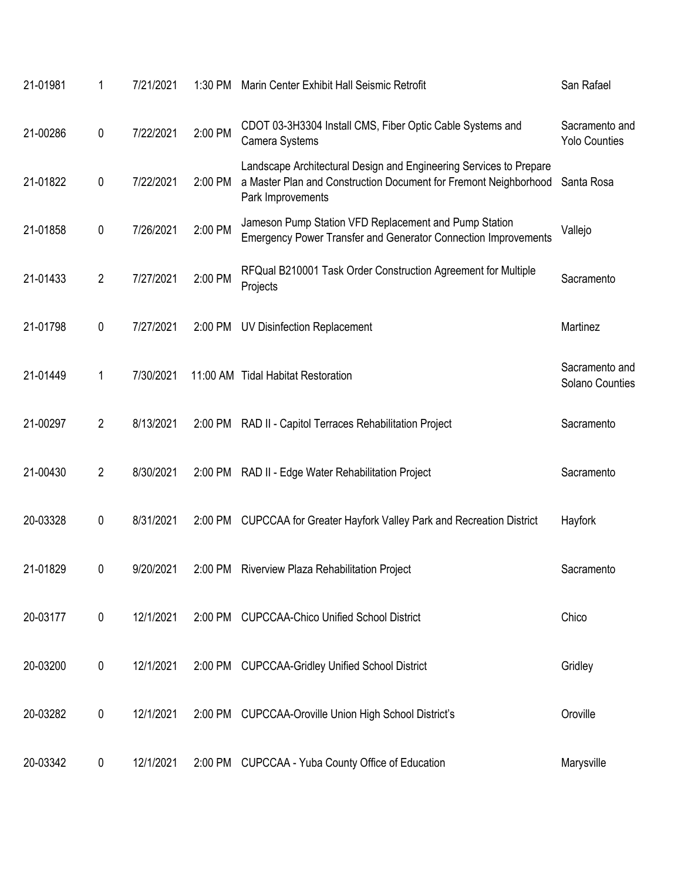| 21-01981 | 1              | 7/21/2021 | 1:30 PM | Marin Center Exhibit Hall Seismic Retrofit                                                                                                                  | San Rafael                             |
|----------|----------------|-----------|---------|-------------------------------------------------------------------------------------------------------------------------------------------------------------|----------------------------------------|
| 21-00286 | 0              | 7/22/2021 | 2:00 PM | CDOT 03-3H3304 Install CMS, Fiber Optic Cable Systems and<br>Camera Systems                                                                                 | Sacramento and<br><b>Yolo Counties</b> |
| 21-01822 | 0              | 7/22/2021 | 2:00 PM | Landscape Architectural Design and Engineering Services to Prepare<br>a Master Plan and Construction Document for Fremont Neighborhood<br>Park Improvements | Santa Rosa                             |
| 21-01858 | 0              | 7/26/2021 | 2:00 PM | Jameson Pump Station VFD Replacement and Pump Station<br>Emergency Power Transfer and Generator Connection Improvements                                     | Vallejo                                |
| 21-01433 | $\overline{2}$ | 7/27/2021 | 2:00 PM | RFQual B210001 Task Order Construction Agreement for Multiple<br>Projects                                                                                   | Sacramento                             |
| 21-01798 | 0              | 7/27/2021 | 2:00 PM | UV Disinfection Replacement                                                                                                                                 | Martinez                               |
| 21-01449 | 1              | 7/30/2021 |         | 11:00 AM Tidal Habitat Restoration                                                                                                                          | Sacramento and<br>Solano Counties      |
| 21-00297 | $\overline{2}$ | 8/13/2021 | 2:00 PM | RAD II - Capitol Terraces Rehabilitation Project                                                                                                            | Sacramento                             |
| 21-00430 | $\overline{2}$ | 8/30/2021 | 2:00 PM | RAD II - Edge Water Rehabilitation Project                                                                                                                  | Sacramento                             |
| 20-03328 | 0              | 8/31/2021 | 2:00 PM | CUPCCAA for Greater Hayfork Valley Park and Recreation District                                                                                             | Hayfork                                |
| 21-01829 | 0              | 9/20/2021 | 2:00 PM | Riverview Plaza Rehabilitation Project                                                                                                                      | Sacramento                             |
| 20-03177 | $\pmb{0}$      | 12/1/2021 | 2:00 PM | <b>CUPCCAA-Chico Unified School District</b>                                                                                                                | Chico                                  |
| 20-03200 | $\pmb{0}$      | 12/1/2021 |         | 2:00 PM CUPCCAA-Gridley Unified School District                                                                                                             | Gridley                                |
| 20-03282 | $\pmb{0}$      | 12/1/2021 | 2:00 PM | <b>CUPCCAA-Oroville Union High School District's</b>                                                                                                        | Oroville                               |
| 20-03342 | 0              | 12/1/2021 |         | 2:00 PM CUPCCAA - Yuba County Office of Education                                                                                                           | Marysville                             |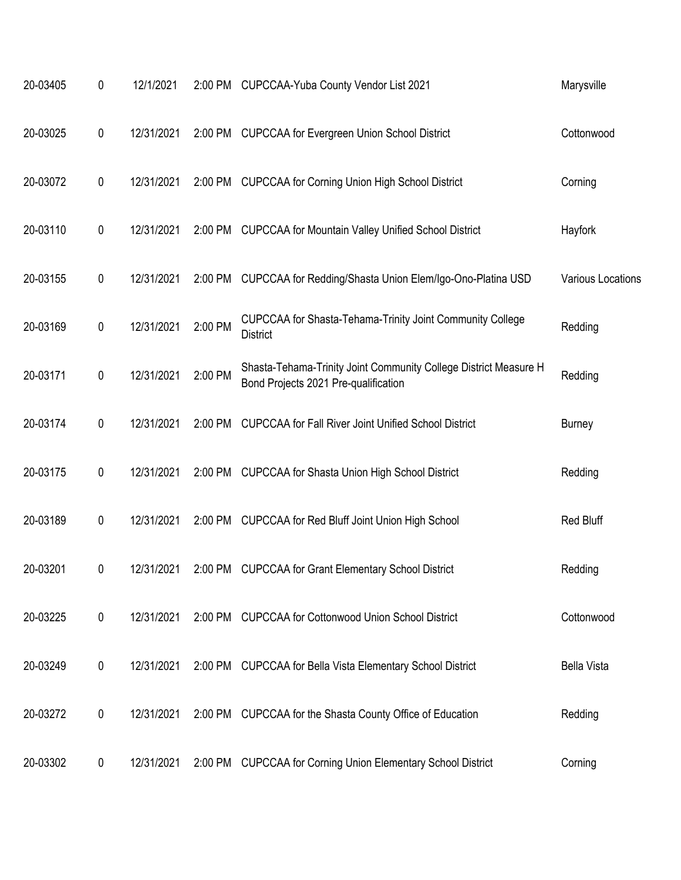| 20-03405 | 0         | 12/1/2021  |         | 2:00 PM CUPCCAA-Yuba County Vendor List 2021                                                             | Marysville         |
|----------|-----------|------------|---------|----------------------------------------------------------------------------------------------------------|--------------------|
| 20-03025 | 0         | 12/31/2021 | 2:00 PM | <b>CUPCCAA for Evergreen Union School District</b>                                                       | Cottonwood         |
| 20-03072 | 0         | 12/31/2021 | 2:00 PM | <b>CUPCCAA for Corning Union High School District</b>                                                    | Corning            |
| 20-03110 | 0         | 12/31/2021 | 2:00 PM | <b>CUPCCAA for Mountain Valley Unified School District</b>                                               | Hayfork            |
| 20-03155 | 0         | 12/31/2021 | 2:00 PM | CUPCCAA for Redding/Shasta Union Elem/Igo-Ono-Platina USD                                                | Various Locations  |
| 20-03169 | 0         | 12/31/2021 | 2:00 PM | CUPCCAA for Shasta-Tehama-Trinity Joint Community College<br><b>District</b>                             | Redding            |
| 20-03171 | 0         | 12/31/2021 | 2:00 PM | Shasta-Tehama-Trinity Joint Community College District Measure H<br>Bond Projects 2021 Pre-qualification | Redding            |
| 20-03174 | 0         | 12/31/2021 | 2:00 PM | <b>CUPCCAA for Fall River Joint Unified School District</b>                                              | <b>Burney</b>      |
| 20-03175 | 0         | 12/31/2021 | 2:00 PM | <b>CUPCCAA for Shasta Union High School District</b>                                                     | Redding            |
| 20-03189 | 0         | 12/31/2021 | 2:00 PM | <b>CUPCCAA for Red Bluff Joint Union High School</b>                                                     | Red Bluff          |
| 20-03201 | 0         | 12/31/2021 | 2:00 PM | <b>CUPCCAA for Grant Elementary School District</b>                                                      | Redding            |
| 20-03225 | $\pmb{0}$ | 12/31/2021 |         | 2:00 PM CUPCCAA for Cottonwood Union School District                                                     | Cottonwood         |
| 20-03249 | 0         | 12/31/2021 |         | 2:00 PM CUPCCAA for Bella Vista Elementary School District                                               | <b>Bella Vista</b> |
| 20-03272 | 0         | 12/31/2021 |         | 2:00 PM CUPCCAA for the Shasta County Office of Education                                                | Redding            |
| 20-03302 | 0         | 12/31/2021 | 2:00 PM | <b>CUPCCAA for Corning Union Elementary School District</b>                                              | Corning            |